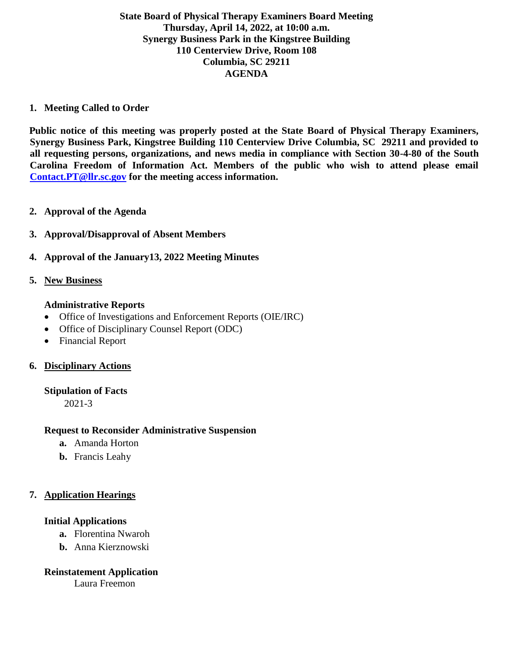## **State Board of Physical Therapy Examiners Board Meeting Thursday, April 14, 2022, at 10:00 a.m. Synergy Business Park in the Kingstree Building 110 Centerview Drive, Room 108 Columbia, SC 29211 AGENDA**

### **1. Meeting Called to Order**

**Public notice of this meeting was properly posted at the State Board of Physical Therapy Examiners, Synergy Business Park, Kingstree Building 110 Centerview Drive Columbia, SC 29211 and provided to all requesting persons, organizations, and news media in compliance with Section 30-4-80 of the South Carolina Freedom of Information Act. Members of the public who wish to attend please email [Contact.PT@llr.sc.gov](mailto:Contact.PT@llr.sc.gov) for the meeting access information.**

- **2. Approval of the Agenda**
- **3. Approval/Disapproval of Absent Members**
- **4. Approval of the January13, 2022 Meeting Minutes**
- **5. New Business**

### **Administrative Reports**

- Office of Investigations and Enforcement Reports (OIE/IRC)
- Office of Disciplinary Counsel Report (ODC)
- Financial Report

## **6. Disciplinary Actions**

### **Stipulation of Facts**

2021-3

### **Request to Reconsider Administrative Suspension**

- **a.** Amanda Horton
- **b.** Francis Leahy

## **7. Application Hearings**

### **Initial Applications**

- **a.** Florentina Nwaroh
- **b.** Anna Kierznowski

## **Reinstatement Application**

Laura Freemon